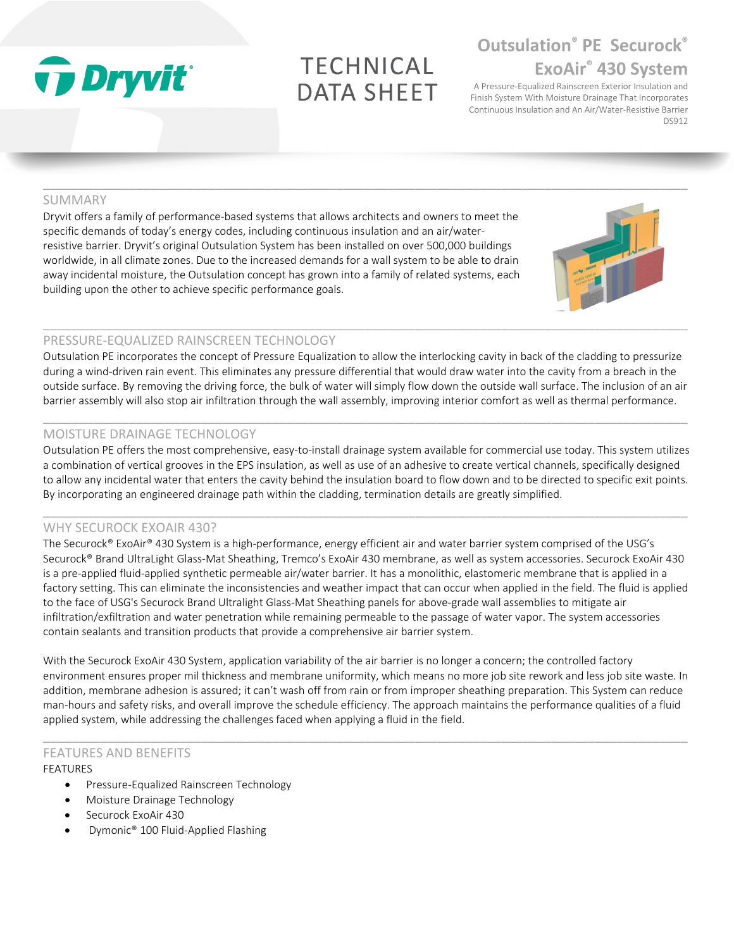

# **TECHNICAL DATA SHEET**

 $\_$  ,  $\_$  ,  $\_$  ,  $\_$  ,  $\_$  ,  $\_$  ,  $\_$  ,  $\_$  ,  $\_$  ,  $\_$  ,  $\_$  ,  $\_$  ,  $\_$  ,  $\_$  ,  $\_$  ,  $\_$  ,  $\_$  ,  $\_$  ,  $\_$  ,  $\_$  ,  $\_$  ,  $\_$  ,  $\_$  ,  $\_$  ,  $\_$  ,  $\_$  ,  $\_$  ,  $\_$  ,  $\_$  ,  $\_$  ,  $\_$  ,  $\_$  ,  $\_$  ,  $\_$  ,  $\_$  ,  $\_$  ,  $\_$  ,

# **Outsulation® PE Securock® ExoAir® 430 System**

A Pressure-Equalized Rainscreen Exterior Insulation and Finish System With Moisture Drainage That Incorporates Continuous Insulation and An Air/Water-Resistive Barrier DS912

#### SUMMARY

Dryvit offers a family of performance-based systems that allows architects and owners to meet the specific demands of today's energy codes, including continuous insulation and an air/waterresistive barrier. Dryvit's original Outsulation System has been installed on over 500,000 buildings worldwide, in all climate zones. Due to the increased demands for a wall system to be able to drain away incidental moisture, the Outsulation concept has grown into a family of related systems, each building upon the other to achieve specific performance goals.



### PRESSURE-EQUALIZED RAINSCREEN TECHNOLOGY

Outsulation PE incorporates the concept of Pressure Equalization to allow the interlocking cavity in back of the cladding to pressurize during a wind-driven rain event. This eliminates any pressure differential that would draw water into the cavity from a breach in the outside surface. By removing the driving force, the bulk of water will simply flow down the outside wall surface. The inclusion of an air barrier assembly will also stop air infiltration through the wall assembly, improving interior comfort as well as thermal performance.

 $\_$  ,  $\_$  ,  $\_$  ,  $\_$  ,  $\_$  ,  $\_$  ,  $\_$  ,  $\_$  ,  $\_$  ,  $\_$  ,  $\_$  ,  $\_$  ,  $\_$  ,  $\_$  ,  $\_$  ,  $\_$  ,  $\_$  ,  $\_$  ,  $\_$  ,  $\_$  ,  $\_$  ,  $\_$  ,  $\_$  ,  $\_$  ,  $\_$  ,  $\_$  ,  $\_$  ,  $\_$  ,  $\_$  ,  $\_$  ,  $\_$  ,  $\_$  ,  $\_$  ,  $\_$  ,  $\_$  ,  $\_$  ,  $\_$  ,

## MOISTURE DRAINAGE TECHNOLOGY

Outsulation PE offers the most comprehensive, easy-to-install drainage system available for commercial use today. This system utilizes a combination of vertical grooves in the EPS insulation, as well as use of an adhesive to create vertical channels, specifically designed to allow any incidental water that enters the cavity behind the insulation board to flow down and to be directed to specific exit points. By incorporating an engineered drainage path within the cladding, termination details are greatly simplified.

 $\_$  ,  $\_$  ,  $\_$  ,  $\_$  ,  $\_$  ,  $\_$  ,  $\_$  ,  $\_$  ,  $\_$  ,  $\_$  ,  $\_$  ,  $\_$  ,  $\_$  ,  $\_$  ,  $\_$  ,  $\_$  ,  $\_$  ,  $\_$  ,  $\_$  ,  $\_$  ,  $\_$  ,  $\_$  ,  $\_$  ,  $\_$  ,  $\_$  ,  $\_$  ,  $\_$  ,  $\_$  ,  $\_$  ,  $\_$  ,  $\_$  ,  $\_$  ,  $\_$  ,  $\_$  ,  $\_$  ,  $\_$  ,  $\_$  ,

#### WHY SECUROCK EXOAIR 430?

The Securock® ExoAir® 430 System is a high-performance, energy efficient air and water barrier system comprised of the USG's Securock® Brand UltraLight Glass-Mat Sheathing, Tremco's ExoAir 430 membrane, as well as system accessories. Securock ExoAir 430 is a pre-applied fluid-applied synthetic permeable air/water barrier. It has a monolithic, elastomeric membrane that is applied in a factory setting. This can eliminate the inconsistencies and weather impact that can occur when applied in the field. The fluid is applied to the face of USG's Securock Brand Ultralight Glass-Mat Sheathing panels for above-grade wall assemblies to mitigate air infiltration/exfiltration and water penetration while remaining permeable to the passage of water vapor. The system accessories contain sealants and transition products that provide a comprehensive air barrier system.

With the Securock ExoAir 430 System, application variability of the air barrier is no longer a concern; the controlled factory environment ensures proper mil thickness and membrane uniformity, which means no more job site rework and less job site waste. In addition, membrane adhesion is assured; it can't wash off from rain or from improper sheathing preparation. This System can reduce man-hours and safety risks, and overall improve the schedule efficiency. The approach maintains the performance qualities of a fluid applied system, while addressing the challenges faced when applying a fluid in the field.

 $\_$  ,  $\_$  ,  $\_$  ,  $\_$  ,  $\_$  ,  $\_$  ,  $\_$  ,  $\_$  ,  $\_$  ,  $\_$  ,  $\_$  ,  $\_$  ,  $\_$  ,  $\_$  ,  $\_$  ,  $\_$  ,  $\_$  ,  $\_$  ,  $\_$  ,  $\_$  ,  $\_$  ,  $\_$  ,  $\_$  ,  $\_$  ,  $\_$  ,  $\_$  ,  $\_$  ,  $\_$  ,  $\_$  ,  $\_$  ,  $\_$  ,  $\_$  ,  $\_$  ,  $\_$  ,  $\_$  ,  $\_$  ,  $\_$  ,

#### FEATURES AND BENEFITS FEATURES

- Pressure-Equalized Rainscreen Technology
- Moisture Drainage Technology
- Securock ExoAir 430
- Dymonic® 100 Fluid-Applied Flashing